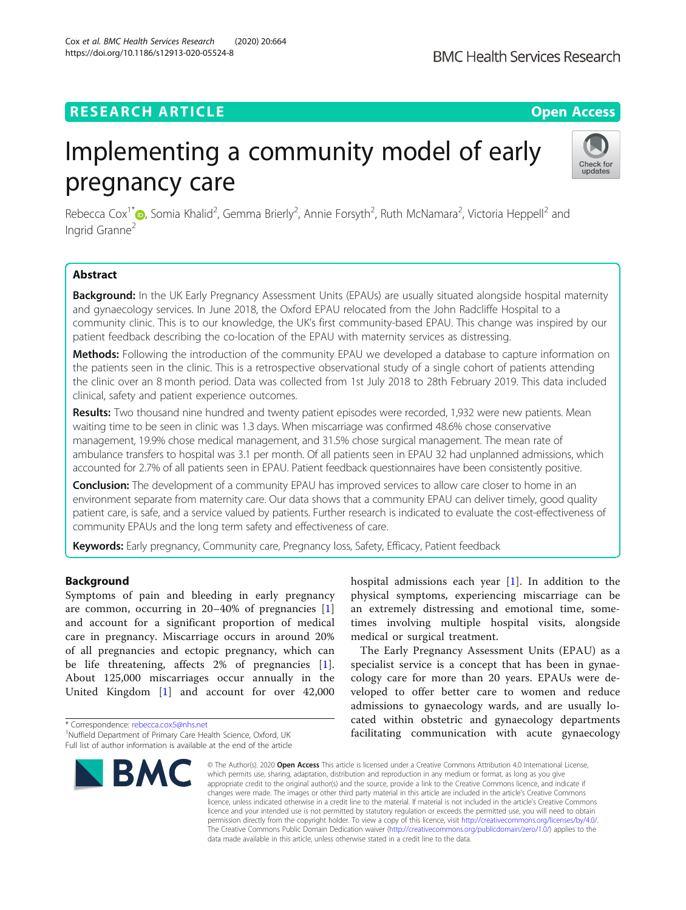# Cox et al. BMC Health Services Research (2020) 20:664 https://doi.org/10.1186/s12913-020-05524-8

# **RESEARCH ARTICLE Example 2014 12:30 The Open Access**

# Implementing a community model of early pregnancy care



Rebecca Cox<sup>1[\\*](http://orcid.org/0000-0002-3150-205X)</sup> (@, Somia Khalid<sup>2</sup>, Gemma Brierly<sup>2</sup>, Annie Forsyth<sup>2</sup>, Ruth McNamara<sup>2</sup>, Victoria Heppell<sup>2</sup> and Ingrid Granne<sup>2</sup>

# Abstract

Background: In the UK Early Pregnancy Assessment Units (EPAUs) are usually situated alongside hospital maternity and gynaecology services. In June 2018, the Oxford EPAU relocated from the John Radcliffe Hospital to a community clinic. This is to our knowledge, the UK's first community-based EPAU. This change was inspired by our patient feedback describing the co-location of the EPAU with maternity services as distressing.

Methods: Following the introduction of the community EPAU we developed a database to capture information on the patients seen in the clinic. This is a retrospective observational study of a single cohort of patients attending the clinic over an 8 month period. Data was collected from 1st July 2018 to 28th February 2019. This data included clinical, safety and patient experience outcomes.

Results: Two thousand nine hundred and twenty patient episodes were recorded, 1,932 were new patients. Mean waiting time to be seen in clinic was 1.3 days. When miscarriage was confirmed 48.6% chose conservative management, 19.9% chose medical management, and 31.5% chose surgical management. The mean rate of ambulance transfers to hospital was 3.1 per month. Of all patients seen in EPAU 32 had unplanned admissions, which accounted for 2.7% of all patients seen in EPAU. Patient feedback questionnaires have been consistently positive.

**Conclusion:** The development of a community EPAU has improved services to allow care closer to home in an environment separate from maternity care. Our data shows that a community EPAU can deliver timely, good quality patient care, is safe, and a service valued by patients. Further research is indicated to evaluate the cost-effectiveness of community EPAUs and the long term safety and effectiveness of care.

Keywords: Early pregnancy, Community care, Pregnancy loss, Safety, Efficacy, Patient feedback

# Background

Symptoms of pain and bleeding in early pregnancy are common, occurring in 20–40% of pregnancies [\[1](#page-6-0)] and account for a significant proportion of medical care in pregnancy. Miscarriage occurs in around 20% of all pregnancies and ectopic pregnancy, which can be life threatening, affects 2% of pregnancies [[1](#page-6-0)]. About 125,000 miscarriages occur annually in the United Kingdom [\[1](#page-6-0)] and account for over 42,000

<sup>&</sup>lt;sup>1</sup>Nuffield Department of Primary Care Health Science, Oxford, UK Full list of author information is available at the end of the article



hospital admissions each year  $[1]$  $[1]$ . In addition to the physical symptoms, experiencing miscarriage can be an extremely distressing and emotional time, sometimes involving multiple hospital visits, alongside medical or surgical treatment.

The Early Pregnancy Assessment Units (EPAU) as a specialist service is a concept that has been in gynaecology care for more than 20 years. EPAUs were developed to offer better care to women and reduce admissions to gynaecology wards, and are usually located within obstetric and gynaecology departments facilitating communication with acute gynaecology

© The Author(s), 2020 **Open Access** This article is licensed under a Creative Commons Attribution 4.0 International License, which permits use, sharing, adaptation, distribution and reproduction in any medium or format, as long as you give appropriate credit to the original author(s) and the source, provide a link to the Creative Commons licence, and indicate if changes were made. The images or other third party material in this article are included in the article's Creative Commons licence, unless indicated otherwise in a credit line to the material. If material is not included in the article's Creative Commons licence and your intended use is not permitted by statutory regulation or exceeds the permitted use, you will need to obtain permission directly from the copyright holder. To view a copy of this licence, visit [http://creativecommons.org/licenses/by/4.0/.](http://creativecommons.org/licenses/by/4.0/) The Creative Commons Public Domain Dedication waiver [\(http://creativecommons.org/publicdomain/zero/1.0/](http://creativecommons.org/publicdomain/zero/1.0/)) applies to the data made available in this article, unless otherwise stated in a credit line to the data.

<sup>\*</sup> Correspondence: [rebecca.cox5@nhs.net](mailto:rebecca.cox5@nhs.net) <sup>1</sup>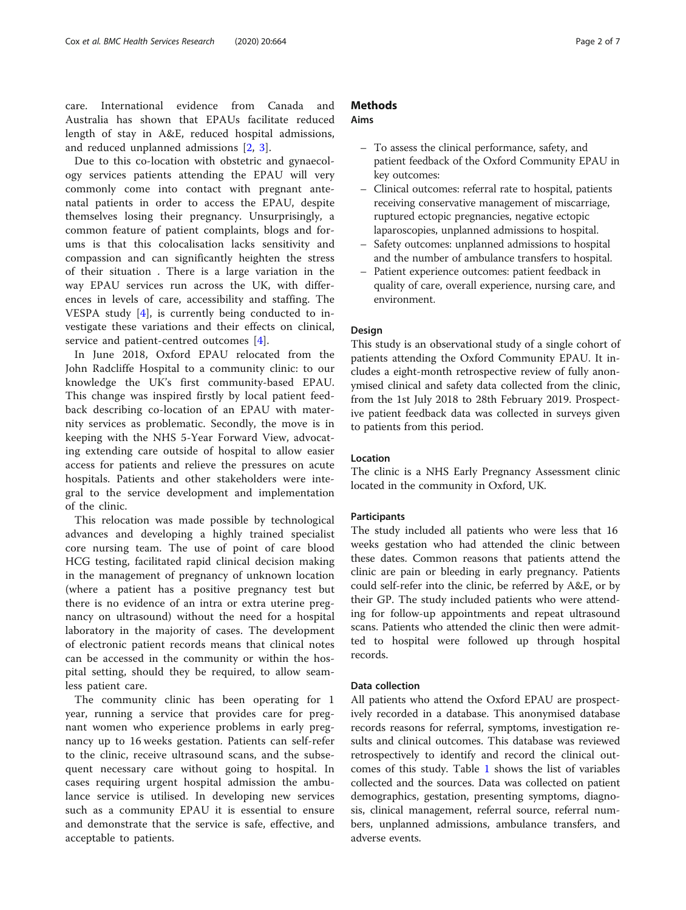care. International evidence from Canada and Australia has shown that EPAUs facilitate reduced length of stay in A&E, reduced hospital admissions, and reduced unplanned admissions [[2](#page-6-0), [3](#page-6-0)].

Due to this co-location with obstetric and gynaecology services patients attending the EPAU will very commonly come into contact with pregnant antenatal patients in order to access the EPAU, despite themselves losing their pregnancy. Unsurprisingly, a common feature of patient complaints, blogs and forums is that this colocalisation lacks sensitivity and compassion and can significantly heighten the stress of their situation . There is a large variation in the way EPAU services run across the UK, with differences in levels of care, accessibility and staffing. The VESPA study [[4\]](#page-6-0), is currently being conducted to investigate these variations and their effects on clinical, service and patient-centred outcomes [\[4](#page-6-0)].

In June 2018, Oxford EPAU relocated from the John Radcliffe Hospital to a community clinic: to our knowledge the UK's first community-based EPAU. This change was inspired firstly by local patient feedback describing co-location of an EPAU with maternity services as problematic. Secondly, the move is in keeping with the NHS 5-Year Forward View, advocating extending care outside of hospital to allow easier access for patients and relieve the pressures on acute hospitals. Patients and other stakeholders were integral to the service development and implementation of the clinic.

This relocation was made possible by technological advances and developing a highly trained specialist core nursing team. The use of point of care blood HCG testing, facilitated rapid clinical decision making in the management of pregnancy of unknown location (where a patient has a positive pregnancy test but there is no evidence of an intra or extra uterine pregnancy on ultrasound) without the need for a hospital laboratory in the majority of cases. The development of electronic patient records means that clinical notes can be accessed in the community or within the hospital setting, should they be required, to allow seamless patient care.

The community clinic has been operating for 1 year, running a service that provides care for pregnant women who experience problems in early pregnancy up to 16 weeks gestation. Patients can self-refer to the clinic, receive ultrasound scans, and the subsequent necessary care without going to hospital. In cases requiring urgent hospital admission the ambulance service is utilised. In developing new services such as a community EPAU it is essential to ensure and demonstrate that the service is safe, effective, and acceptable to patients.

# **Methods**

# Aims

- To assess the clinical performance, safety, and patient feedback of the Oxford Community EPAU in key outcomes:
- Clinical outcomes: referral rate to hospital, patients receiving conservative management of miscarriage, ruptured ectopic pregnancies, negative ectopic laparoscopies, unplanned admissions to hospital.
- Safety outcomes: unplanned admissions to hospital and the number of ambulance transfers to hospital.
- Patient experience outcomes: patient feedback in quality of care, overall experience, nursing care, and environment.

# Design

This study is an observational study of a single cohort of patients attending the Oxford Community EPAU. It includes a eight-month retrospective review of fully anonymised clinical and safety data collected from the clinic, from the 1st July 2018 to 28th February 2019. Prospective patient feedback data was collected in surveys given to patients from this period.

# Location

The clinic is a NHS Early Pregnancy Assessment clinic located in the community in Oxford, UK.

# **Participants**

The study included all patients who were less that 16 weeks gestation who had attended the clinic between these dates. Common reasons that patients attend the clinic are pain or bleeding in early pregnancy. Patients could self-refer into the clinic, be referred by A&E, or by their GP. The study included patients who were attending for follow-up appointments and repeat ultrasound scans. Patients who attended the clinic then were admitted to hospital were followed up through hospital records.

# Data collection

All patients who attend the Oxford EPAU are prospectively recorded in a database. This anonymised database records reasons for referral, symptoms, investigation results and clinical outcomes. This database was reviewed retrospectively to identify and record the clinical outcomes of this study. Table [1](#page-2-0) shows the list of variables collected and the sources. Data was collected on patient demographics, gestation, presenting symptoms, diagnosis, clinical management, referral source, referral numbers, unplanned admissions, ambulance transfers, and adverse events.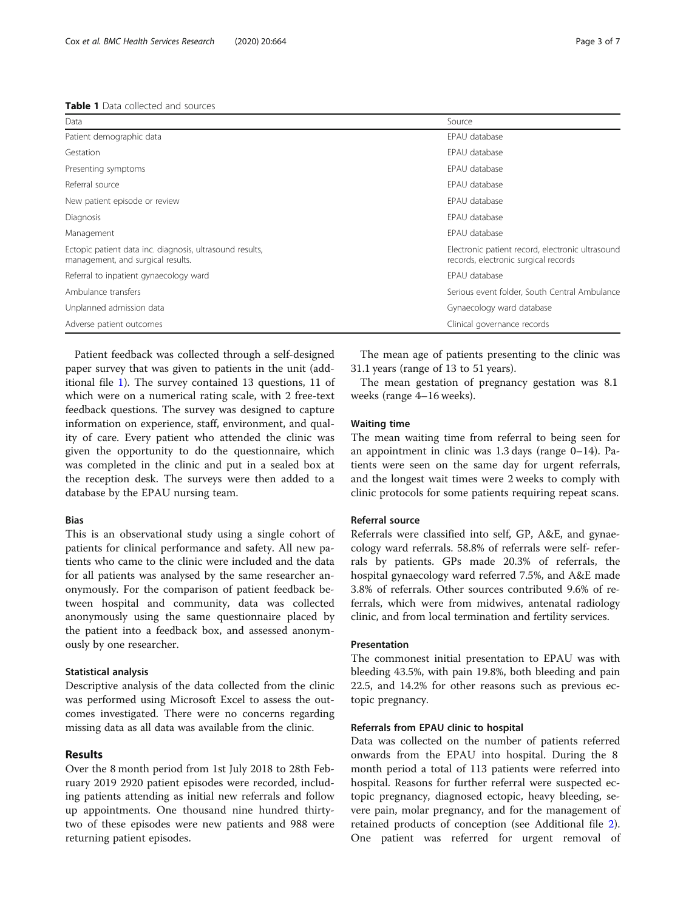# <span id="page-2-0"></span>Table 1 Data collected and sources

| Data                                                                                          | Source                                                                                   |
|-----------------------------------------------------------------------------------------------|------------------------------------------------------------------------------------------|
| Patient demographic data                                                                      | EPAU database                                                                            |
| Gestation                                                                                     | FPAU database                                                                            |
| Presenting symptoms                                                                           | EPAU database                                                                            |
| Referral source                                                                               | EPAU database                                                                            |
| New patient episode or review                                                                 | EPAU database                                                                            |
| Diagnosis                                                                                     | FPAU database                                                                            |
| Management                                                                                    | EPAU database                                                                            |
| Ectopic patient data inc. diagnosis, ultrasound results,<br>management, and surgical results. | Electronic patient record, electronic ultrasound<br>records, electronic surgical records |
| Referral to inpatient gynaecology ward                                                        | FPAU database                                                                            |
| Ambulance transfers                                                                           | Serious event folder, South Central Ambulance                                            |
| Unplanned admission data                                                                      | Gynaecology ward database                                                                |
| Adverse patient outcomes                                                                      | Clinical governance records                                                              |
|                                                                                               |                                                                                          |

Patient feedback was collected through a self-designed paper survey that was given to patients in the unit (additional file [1](#page-6-0)). The survey contained 13 questions, 11 of which were on a numerical rating scale, with 2 free-text feedback questions. The survey was designed to capture information on experience, staff, environment, and quality of care. Every patient who attended the clinic was given the opportunity to do the questionnaire, which was completed in the clinic and put in a sealed box at the reception desk. The surveys were then added to a database by the EPAU nursing team.

# Bias

This is an observational study using a single cohort of patients for clinical performance and safety. All new patients who came to the clinic were included and the data for all patients was analysed by the same researcher anonymously. For the comparison of patient feedback between hospital and community, data was collected anonymously using the same questionnaire placed by the patient into a feedback box, and assessed anonymously by one researcher.

# Statistical analysis

Descriptive analysis of the data collected from the clinic was performed using Microsoft Excel to assess the outcomes investigated. There were no concerns regarding missing data as all data was available from the clinic.

# Results

Over the 8 month period from 1st July 2018 to 28th February 2019 2920 patient episodes were recorded, including patients attending as initial new referrals and follow up appointments. One thousand nine hundred thirtytwo of these episodes were new patients and 988 were returning patient episodes.

The mean age of patients presenting to the clinic was 31.1 years (range of 13 to 51 years).

The mean gestation of pregnancy gestation was 8.1 weeks (range 4–16 weeks).

# Waiting time

The mean waiting time from referral to being seen for an appointment in clinic was 1.3 days (range 0–14). Patients were seen on the same day for urgent referrals, and the longest wait times were 2 weeks to comply with clinic protocols for some patients requiring repeat scans.

# Referral source

Referrals were classified into self, GP, A&E, and gynaecology ward referrals. 58.8% of referrals were self- referrals by patients. GPs made 20.3% of referrals, the hospital gynaecology ward referred 7.5%, and A&E made 3.8% of referrals. Other sources contributed 9.6% of referrals, which were from midwives, antenatal radiology clinic, and from local termination and fertility services.

# Presentation

The commonest initial presentation to EPAU was with bleeding 43.5%, with pain 19.8%, both bleeding and pain 22.5, and 14.2% for other reasons such as previous ectopic pregnancy.

# Referrals from EPAU clinic to hospital

Data was collected on the number of patients referred onwards from the EPAU into hospital. During the 8 month period a total of 113 patients were referred into hospital. Reasons for further referral were suspected ectopic pregnancy, diagnosed ectopic, heavy bleeding, severe pain, molar pregnancy, and for the management of retained products of conception (see Additional file [2](#page-6-0)). One patient was referred for urgent removal of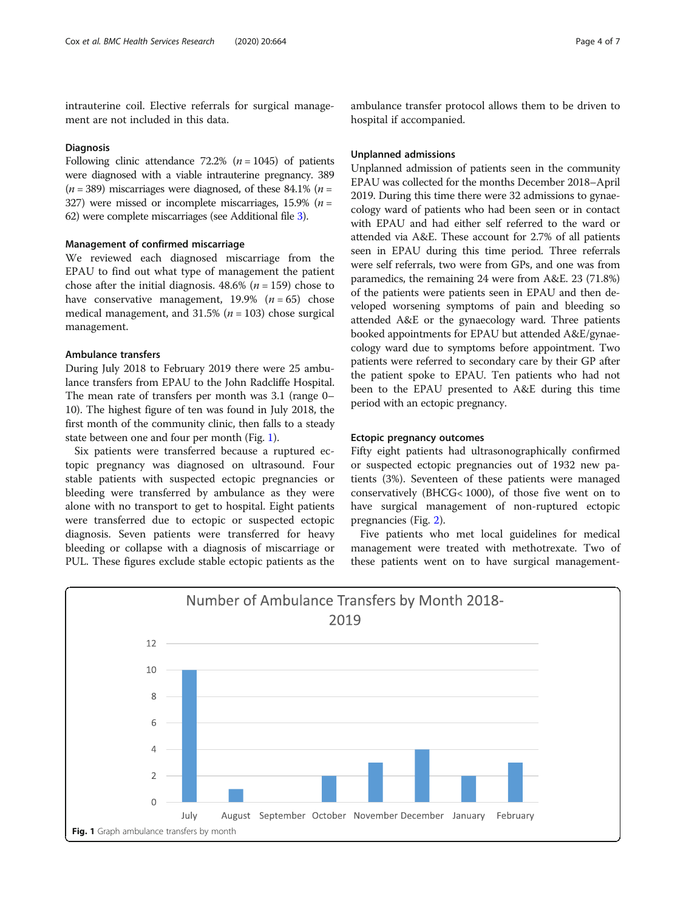intrauterine coil. Elective referrals for surgical management are not included in this data.

# Diagnosis

Following clinic attendance 72.2% ( $n = 1045$ ) of patients were diagnosed with a viable intrauterine pregnancy. 389  $(n = 389)$  miscarriages were diagnosed, of these 84.1%  $(n =$ 327) were missed or incomplete miscarriages, 15.9% ( $n =$ 62) were complete miscarriages (see Additional file [3\)](#page-6-0).

# Management of confirmed miscarriage

We reviewed each diagnosed miscarriage from the EPAU to find out what type of management the patient chose after the initial diagnosis.  $48.6\%$  ( $n = 159$ ) chose to have conservative management,  $19.9\%$  ( $n = 65$ ) chose medical management, and 31.5% ( $n = 103$ ) chose surgical management.

# Ambulance transfers

During July 2018 to February 2019 there were 25 ambulance transfers from EPAU to the John Radcliffe Hospital. The mean rate of transfers per month was 3.1 (range 0– 10). The highest figure of ten was found in July 2018, the first month of the community clinic, then falls to a steady state between one and four per month (Fig. 1).

Six patients were transferred because a ruptured ectopic pregnancy was diagnosed on ultrasound. Four stable patients with suspected ectopic pregnancies or bleeding were transferred by ambulance as they were alone with no transport to get to hospital. Eight patients were transferred due to ectopic or suspected ectopic diagnosis. Seven patients were transferred for heavy bleeding or collapse with a diagnosis of miscarriage or PUL. These figures exclude stable ectopic patients as the

ambulance transfer protocol allows them to be driven to hospital if accompanied.

# Unplanned admissions

Unplanned admission of patients seen in the community EPAU was collected for the months December 2018–April 2019. During this time there were 32 admissions to gynaecology ward of patients who had been seen or in contact with EPAU and had either self referred to the ward or attended via A&E. These account for 2.7% of all patients seen in EPAU during this time period. Three referrals were self referrals, two were from GPs, and one was from paramedics, the remaining 24 were from A&E. 23 (71.8%) of the patients were patients seen in EPAU and then developed worsening symptoms of pain and bleeding so attended A&E or the gynaecology ward. Three patients booked appointments for EPAU but attended A&E/gynaecology ward due to symptoms before appointment. Two patients were referred to secondary care by their GP after the patient spoke to EPAU. Ten patients who had not been to the EPAU presented to A&E during this time period with an ectopic pregnancy.

# Ectopic pregnancy outcomes

Fifty eight patients had ultrasonographically confirmed or suspected ectopic pregnancies out of 1932 new patients (3%). Seventeen of these patients were managed conservatively (BHCG< 1000), of those five went on to have surgical management of non-ruptured ectopic pregnancies (Fig. [2\)](#page-4-0).

Five patients who met local guidelines for medical management were treated with methotrexate. Two of these patients went on to have surgical management-

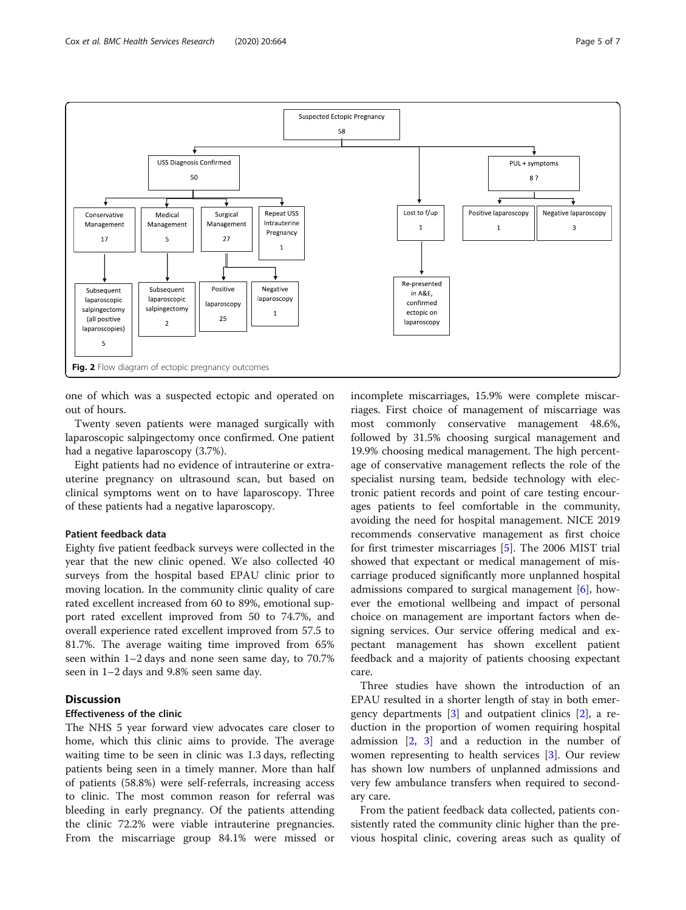<span id="page-4-0"></span>

one of which was a suspected ectopic and operated on out of hours.

Twenty seven patients were managed surgically with laparoscopic salpingectomy once confirmed. One patient had a negative laparoscopy (3.7%).

Eight patients had no evidence of intrauterine or extrauterine pregnancy on ultrasound scan, but based on clinical symptoms went on to have laparoscopy. Three of these patients had a negative laparoscopy.

# Patient feedback data

Eighty five patient feedback surveys were collected in the year that the new clinic opened. We also collected 40 surveys from the hospital based EPAU clinic prior to moving location. In the community clinic quality of care rated excellent increased from 60 to 89%, emotional support rated excellent improved from 50 to 74.7%, and overall experience rated excellent improved from 57.5 to 81.7%. The average waiting time improved from 65% seen within 1–2 days and none seen same day, to 70.7% seen in 1–2 days and 9.8% seen same day.

# Discussion

# Effectiveness of the clinic

The NHS 5 year forward view advocates care closer to home, which this clinic aims to provide. The average waiting time to be seen in clinic was 1.3 days, reflecting patients being seen in a timely manner. More than half of patients (58.8%) were self-referrals, increasing access to clinic. The most common reason for referral was bleeding in early pregnancy. Of the patients attending the clinic 72.2% were viable intrauterine pregnancies. From the miscarriage group 84.1% were missed or

incomplete miscarriages, 15.9% were complete miscarriages. First choice of management of miscarriage was most commonly conservative management 48.6%, followed by 31.5% choosing surgical management and 19.9% choosing medical management. The high percentage of conservative management reflects the role of the specialist nursing team, bedside technology with electronic patient records and point of care testing encourages patients to feel comfortable in the community, avoiding the need for hospital management. NICE 2019 recommends conservative management as first choice for first trimester miscarriages [[5\]](#page-6-0). The 2006 MIST trial showed that expectant or medical management of miscarriage produced significantly more unplanned hospital admissions compared to surgical management  $[6]$  $[6]$ , however the emotional wellbeing and impact of personal choice on management are important factors when designing services. Our service offering medical and expectant management has shown excellent patient feedback and a majority of patients choosing expectant care.

Three studies have shown the introduction of an EPAU resulted in a shorter length of stay in both emergency departments [\[3](#page-6-0)] and outpatient clinics [\[2](#page-6-0)], a reduction in the proportion of women requiring hospital admission  $\begin{bmatrix} 2, 3 \end{bmatrix}$  $\begin{bmatrix} 2, 3 \end{bmatrix}$  $\begin{bmatrix} 2, 3 \end{bmatrix}$  $\begin{bmatrix} 2, 3 \end{bmatrix}$  $\begin{bmatrix} 2, 3 \end{bmatrix}$  and a reduction in the number of women representing to health services [\[3](#page-6-0)]. Our review has shown low numbers of unplanned admissions and very few ambulance transfers when required to secondary care.

From the patient feedback data collected, patients consistently rated the community clinic higher than the previous hospital clinic, covering areas such as quality of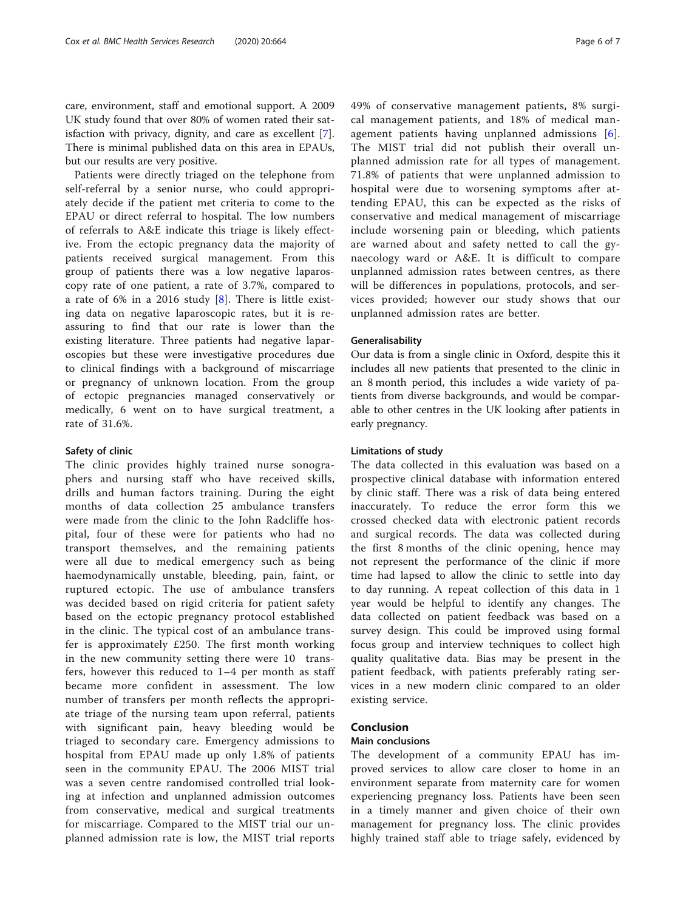care, environment, staff and emotional support. A 2009 UK study found that over 80% of women rated their satisfaction with privacy, dignity, and care as excellent [\[7](#page-6-0)]. There is minimal published data on this area in EPAUs, but our results are very positive.

Patients were directly triaged on the telephone from self-referral by a senior nurse, who could appropriately decide if the patient met criteria to come to the EPAU or direct referral to hospital. The low numbers of referrals to A&E indicate this triage is likely effective. From the ectopic pregnancy data the majority of patients received surgical management. From this group of patients there was a low negative laparoscopy rate of one patient, a rate of 3.7%, compared to a rate of 6% in a 2016 study [[8\]](#page-6-0). There is little existing data on negative laparoscopic rates, but it is reassuring to find that our rate is lower than the existing literature. Three patients had negative laparoscopies but these were investigative procedures due to clinical findings with a background of miscarriage or pregnancy of unknown location. From the group of ectopic pregnancies managed conservatively or medically, 6 went on to have surgical treatment, a rate of 31.6%.

# Safety of clinic

The clinic provides highly trained nurse sonographers and nursing staff who have received skills, drills and human factors training. During the eight months of data collection 25 ambulance transfers were made from the clinic to the John Radcliffe hospital, four of these were for patients who had no transport themselves, and the remaining patients were all due to medical emergency such as being haemodynamically unstable, bleeding, pain, faint, or ruptured ectopic. The use of ambulance transfers was decided based on rigid criteria for patient safety based on the ectopic pregnancy protocol established in the clinic. The typical cost of an ambulance transfer is approximately £250. The first month working in the new community setting there were 10 transfers, however this reduced to 1–4 per month as staff became more confident in assessment. The low number of transfers per month reflects the appropriate triage of the nursing team upon referral, patients with significant pain, heavy bleeding would be triaged to secondary care. Emergency admissions to hospital from EPAU made up only 1.8% of patients seen in the community EPAU. The 2006 MIST trial was a seven centre randomised controlled trial looking at infection and unplanned admission outcomes from conservative, medical and surgical treatments for miscarriage. Compared to the MIST trial our unplanned admission rate is low, the MIST trial reports

49% of conservative management patients, 8% surgical management patients, and 18% of medical management patients having unplanned admissions [[6](#page-6-0)]. The MIST trial did not publish their overall unplanned admission rate for all types of management. 71.8% of patients that were unplanned admission to hospital were due to worsening symptoms after attending EPAU, this can be expected as the risks of conservative and medical management of miscarriage include worsening pain or bleeding, which patients are warned about and safety netted to call the gynaecology ward or A&E. It is difficult to compare unplanned admission rates between centres, as there will be differences in populations, protocols, and services provided; however our study shows that our unplanned admission rates are better.

# Generalisability

Our data is from a single clinic in Oxford, despite this it includes all new patients that presented to the clinic in an 8 month period, this includes a wide variety of patients from diverse backgrounds, and would be comparable to other centres in the UK looking after patients in early pregnancy.

# Limitations of study

The data collected in this evaluation was based on a prospective clinical database with information entered by clinic staff. There was a risk of data being entered inaccurately. To reduce the error form this we crossed checked data with electronic patient records and surgical records. The data was collected during the first 8 months of the clinic opening, hence may not represent the performance of the clinic if more time had lapsed to allow the clinic to settle into day to day running. A repeat collection of this data in 1 year would be helpful to identify any changes. The data collected on patient feedback was based on a survey design. This could be improved using formal focus group and interview techniques to collect high quality qualitative data. Bias may be present in the patient feedback, with patients preferably rating services in a new modern clinic compared to an older existing service.

# Conclusion

#### Main conclusions

The development of a community EPAU has improved services to allow care closer to home in an environment separate from maternity care for women experiencing pregnancy loss. Patients have been seen in a timely manner and given choice of their own management for pregnancy loss. The clinic provides highly trained staff able to triage safely, evidenced by